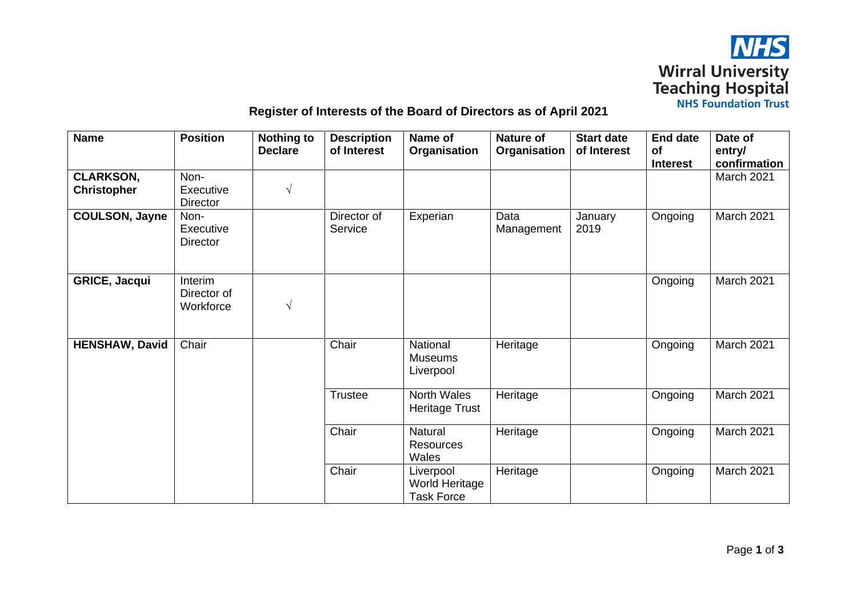

## **Register of Interests of the Board of Directors as of April 2021**

| <b>Name</b>                            | <b>Position</b>                            | <b>Nothing to</b><br><b>Declare</b> | <b>Description</b><br>of Interest | Name of<br>Organisation                                 | <b>Nature of</b><br>Organisation | <b>Start date</b><br>of Interest | <b>End date</b><br><b>of</b><br><b>Interest</b> | Date of<br>entry/<br>confirmation |
|----------------------------------------|--------------------------------------------|-------------------------------------|-----------------------------------|---------------------------------------------------------|----------------------------------|----------------------------------|-------------------------------------------------|-----------------------------------|
| <b>CLARKSON,</b><br><b>Christopher</b> | Non-<br>Executive                          | $\sqrt{ }$                          |                                   |                                                         |                                  |                                  |                                                 | March 2021                        |
|                                        | <b>Director</b>                            |                                     |                                   |                                                         |                                  |                                  |                                                 |                                   |
| <b>COULSON, Jayne</b>                  | Non-<br>Executive<br><b>Director</b>       |                                     | Director of<br>Service            | Experian                                                | Data<br>Management               | January<br>2019                  | Ongoing                                         | March 2021                        |
| <b>GRICE, Jacqui</b>                   | <b>Interim</b><br>Director of<br>Workforce | $\sqrt{ }$                          |                                   |                                                         |                                  |                                  | Ongoing                                         | March 2021                        |
| <b>HENSHAW, David</b>                  | Chair                                      |                                     | Chair                             | National<br><b>Museums</b><br>Liverpool                 | Heritage                         |                                  | Ongoing                                         | March 2021                        |
|                                        |                                            |                                     | <b>Trustee</b>                    | North Wales<br><b>Heritage Trust</b>                    | Heritage                         |                                  | Ongoing                                         | March 2021                        |
|                                        |                                            |                                     | Chair                             | <b>Natural</b><br><b>Resources</b><br>Wales             | Heritage                         |                                  | Ongoing                                         | March 2021                        |
|                                        |                                            |                                     | Chair                             | Liverpool<br><b>World Heritage</b><br><b>Task Force</b> | Heritage                         |                                  | Ongoing                                         | March 2021                        |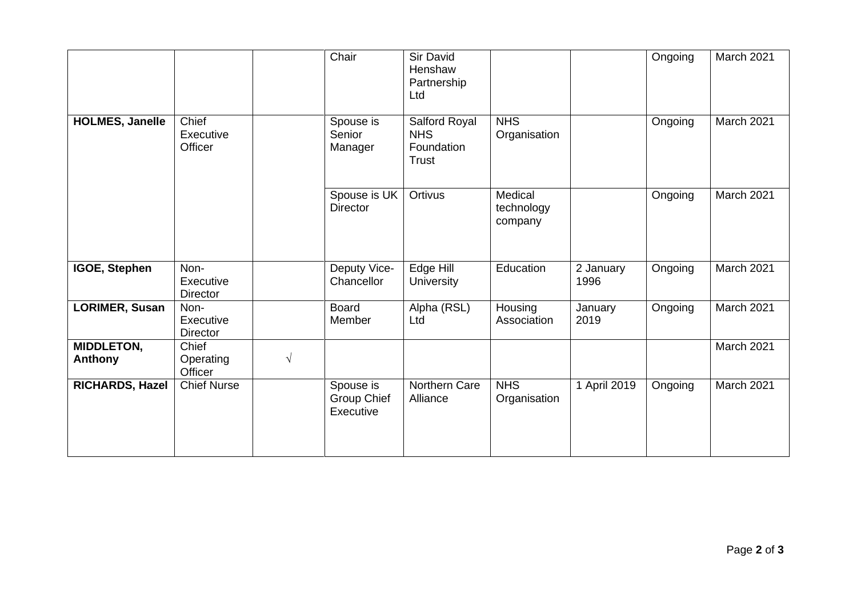|                                     |                                      |            | Chair                                        | Sir David<br>Henshaw<br>Partnership<br>Ltd         |                                  |                   | Ongoing | March 2021 |
|-------------------------------------|--------------------------------------|------------|----------------------------------------------|----------------------------------------------------|----------------------------------|-------------------|---------|------------|
| <b>HOLMES, Janelle</b>              | Chief<br>Executive<br>Officer        |            | Spouse is<br>Senior<br>Manager               | Salford Royal<br><b>NHS</b><br>Foundation<br>Trust | <b>NHS</b><br>Organisation       |                   | Ongoing | March 2021 |
|                                     |                                      |            | Spouse is UK<br><b>Director</b>              | Ortivus                                            | Medical<br>technology<br>company |                   | Ongoing | March 2021 |
| IGOE, Stephen                       | Non-<br>Executive<br><b>Director</b> |            | Deputy Vice-<br>Chancellor                   | Edge Hill<br>University                            | Education                        | 2 January<br>1996 | Ongoing | March 2021 |
| LORIMER, Susan                      | Non-<br>Executive<br><b>Director</b> |            | <b>Board</b><br>Member                       | Alpha (RSL)<br>Ltd                                 | Housing<br>Association           | January<br>2019   | Ongoing | March 2021 |
| <b>MIDDLETON,</b><br><b>Anthony</b> | Chief<br>Operating<br>Officer        | $\sqrt{ }$ |                                              |                                                    |                                  |                   |         | March 2021 |
| RICHARDS, Hazel                     | <b>Chief Nurse</b>                   |            | Spouse is<br><b>Group Chief</b><br>Executive | Northern Care<br>Alliance                          | <b>NHS</b><br>Organisation       | 1 April 2019      | Ongoing | March 2021 |